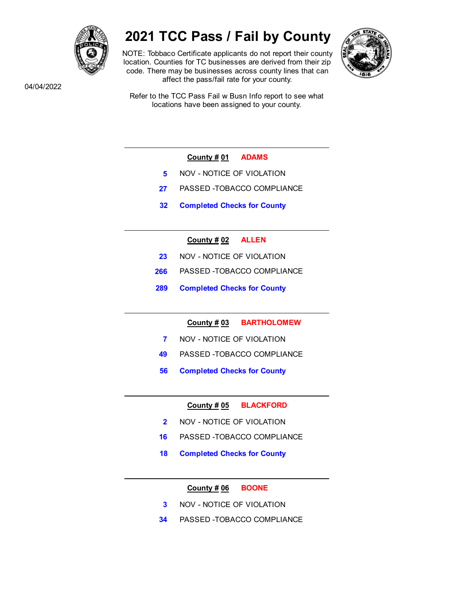

# 2021 TCC Pass / Fail by County

NOTE: Tobbaco Certificate applicants do not report their county location. Counties for TC businesses are derived from their zip code. There may be businesses across county lines that can affect the pass/fail rate for your county.



04/04/2022

Refer to the TCC Pass Fail w Busn Info report to see what locations have been assigned to your county.

- County # 01 ADAMS
- 5 NOV NOTICE OF VIOLATION
- 27 PASSED -TOBACCO COMPLIANCE
- 32 Completed Checks for County

# County # 02 ALLEN

- 23 NOV NOTICE OF VIOLATION
- 266 PASSED -TOBACCO COMPLIANCE
- 289 Completed Checks for County

County # 03 BARTHOLOMEW

- 7 NOV NOTICE OF VIOLATION
- 49 PASSED -TOBACCO COMPLIANCE
- 56 Completed Checks for County

County # 05 BLACKFORD

- 2 NOV NOTICE OF VIOLATION
- 16 PASSED -TOBACCO COMPLIANCE
- 18 Completed Checks for County

County # 06 BOONE

- 3 NOV NOTICE OF VIOLATION
- 34 PASSED -TOBACCO COMPLIANCE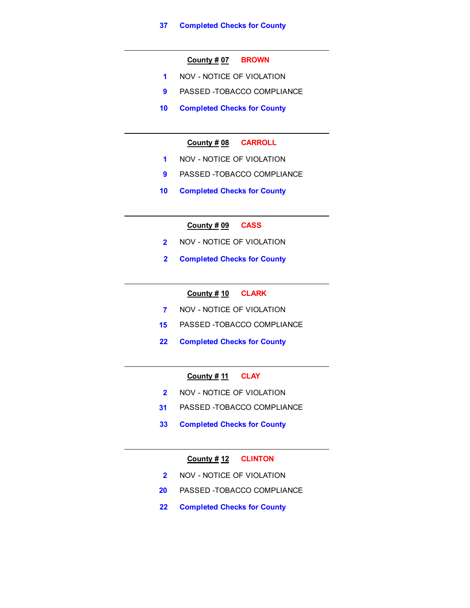#### County # 07 BROWN

- 1 NOV NOTICE OF VIOLATION
- 9 PASSED -TOBACCO COMPLIANCE
- 10 Completed Checks for County

## County # 08 CARROLL

- 1 NOV NOTICE OF VIOLATION
- 9 PASSED -TOBACCO COMPLIANCE
- 10 Completed Checks for County

## County  $\frac{\#}{109}$  CASS

- 2 NOV NOTICE OF VIOLATION
- 2 Completed Checks for County

## County # 10 CLARK

- 7 NOV NOTICE OF VIOLATION
- 15 PASSED -TOBACCO COMPLIANCE
- 22 Completed Checks for County

# County # 11 CLAY

- 2 NOV NOTICE OF VIOLATION
- 31 PASSED -TOBACCO COMPLIANCE
- 33 Completed Checks for County

#### County # 12 CLINTON

- 2 NOV NOTICE OF VIOLATION
- 20 PASSED -TOBACCO COMPLIANCE
- 22 Completed Checks for County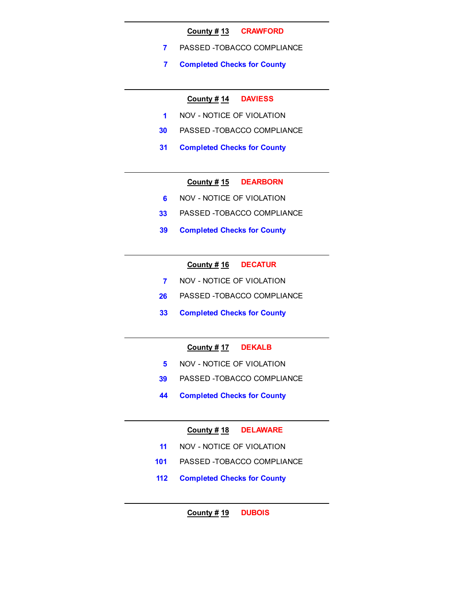#### County # 13 CRAWFORD

- 7 PASSED -TOBACCO COMPLIANCE
- 7 Completed Checks for County

## County # 14 DAVIESS

- 1 NOV NOTICE OF VIOLATION
- 30 PASSED -TOBACCO COMPLIANCE
- 31 Completed Checks for County

# County # 15 DEARBORN

- 6 NOV NOTICE OF VIOLATION
- 33 PASSED -TOBACCO COMPLIANCE
- 39 Completed Checks for County

# County # 16 DECATUR

- 7 NOV NOTICE OF VIOLATION
- 26 PASSED -TOBACCO COMPLIANCE
- 33 Completed Checks for County

## County # 17 DEKALB

- 5 NOV NOTICE OF VIOLATION
- 39 PASSED -TOBACCO COMPLIANCE
- 44 Completed Checks for County

## County # 18 DELAWARE

- 11 NOV NOTICE OF VIOLATION
- 101 PASSED -TOBACCO COMPLIANCE
- 112 Completed Checks for County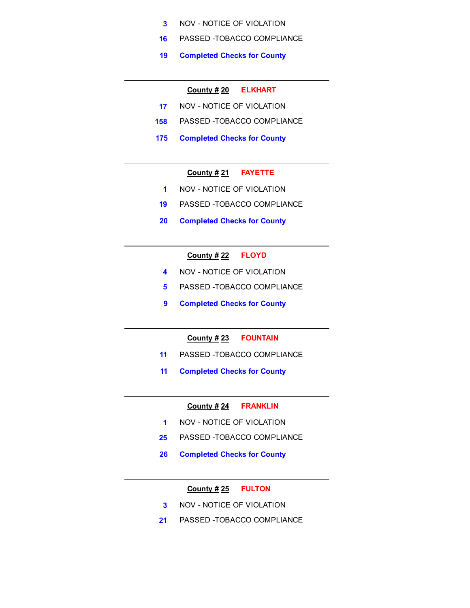- 3 NOV NOTICE OF VIOLATION
- 16 PASSED -TOBACCO COMPLIANCE
- 19 Completed Checks for County

## County # 20 ELKHART

- 17 NOV NOTICE OF VIOLATION
- 158 PASSED -TOBACCO COMPLIANCE
- 175 Completed Checks for County

## County # 21 FAYETTE

- 1 NOV NOTICE OF VIOLATION
- 19 PASSED -TOBACCO COMPLIANCE
- 20 Completed Checks for County

#### County  $\frac{\# 22}{\# 22}$  FLOYD

- 4 NOV NOTICE OF VIOLATION
- 5 PASSED -TOBACCO COMPLIANCE
- 9 Completed Checks for County

## County # 23 FOUNTAIN

- 11 PASSED -TOBACCO COMPLIANCE
- 11 Completed Checks for County

#### County # 24 FRANKLIN

- 1 NOV NOTICE OF VIOLATION
- 25 PASSED -TOBACCO COMPLIANCE
- 26 Completed Checks for County

#### County # 25 FULTON

- 3 NOV NOTICE OF VIOLATION
- 21 PASSED -TOBACCO COMPLIANCE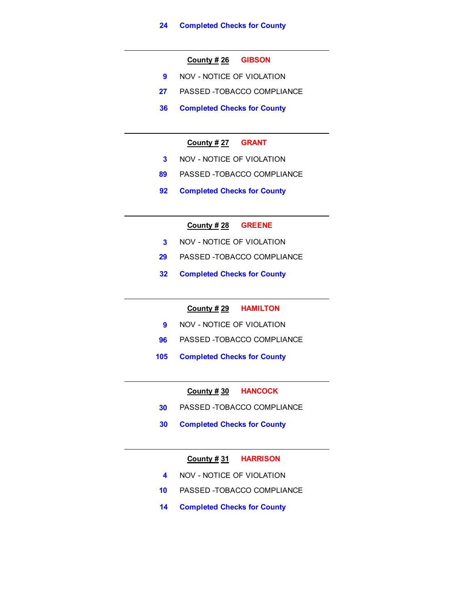## County # 26 GIBSON

- 9 NOV NOTICE OF VIOLATION
- 27 PASSED -TOBACCO COMPLIANCE
- 36 Completed Checks for County

## County # 27 GRANT

- 3 NOV NOTICE OF VIOLATION
- 89 PASSED -TOBACCO COMPLIANCE
- 92 Completed Checks for County

## County  $\frac{\#}{28}$  GREENE

- 3 NOV NOTICE OF VIOLATION
- 29 PASSED -TOBACCO COMPLIANCE
- 32 Completed Checks for County

## County # 29 HAMILTON

- 9 NOV NOTICE OF VIOLATION
- 96 PASSED -TOBACCO COMPLIANCE
- 105 Completed Checks for County

#### County # 30 HANCOCK

- 30 PASSED -TOBACCO COMPLIANCE
- 30 Completed Checks for County

#### County # 31 HARRISON

- 4 NOV NOTICE OF VIOLATION
- 10 PASSED -TOBACCO COMPLIANCE
- 14 Completed Checks for County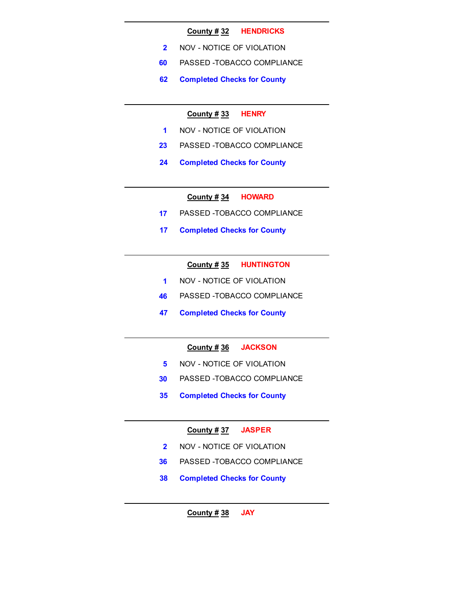#### County # 32 HENDRICKS

- 2 NOV NOTICE OF VIOLATION
- 60 PASSED -TOBACCO COMPLIANCE
- 62 Completed Checks for County

#### County  $\frac{\text{#}}{33}$  HENRY

- 1 NOV NOTICE OF VIOLATION
- 23 PASSED -TOBACCO COMPLIANCE
- 24 Completed Checks for County

#### County # 34 HOWARD

- 17 PASSED -TOBACCO COMPLIANCE
- 17 Completed Checks for County

#### County # 35 HUNTINGTON

- 1 NOV NOTICE OF VIOLATION
- 46 PASSED -TOBACCO COMPLIANCE
- 47 Completed Checks for County

## County # 36 JACKSON

- 5 NOV NOTICE OF VIOLATION
- 30 PASSED -TOBACCO COMPLIANCE
- 35 Completed Checks for County

# County # 37 JASPER

- 2 NOV NOTICE OF VIOLATION
- 36 PASSED -TOBACCO COMPLIANCE
- 38 Completed Checks for County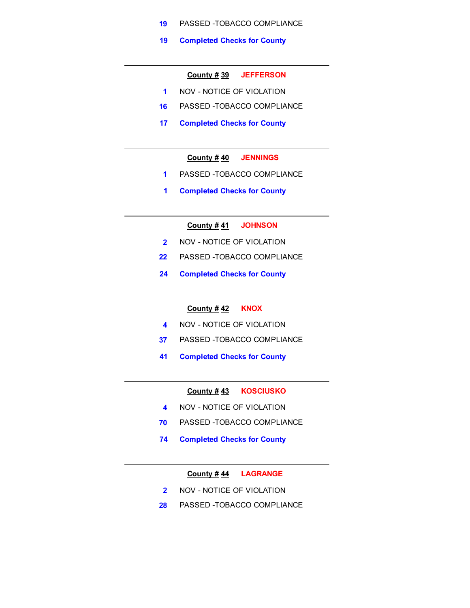- 19 PASSED -TOBACCO COMPLIANCE
- 19 Completed Checks for County

#### County # 39 JEFFERSON

- 1 NOV NOTICE OF VIOLATION
- 16 PASSED -TOBACCO COMPLIANCE
- 17 Completed Checks for County

#### County # 40 JENNINGS

- 1 PASSED -TOBACCO COMPLIANCE
- 1 Completed Checks for County

## County # 41 JOHNSON

- 2 NOV NOTICE OF VIOLATION
- 22 PASSED -TOBACCO COMPLIANCE
- 24 Completed Checks for County

## County # 42 KNOX

- 4 NOV NOTICE OF VIOLATION
- 37 PASSED -TOBACCO COMPLIANCE
- 41 Completed Checks for County

# County # 43 KOSCIUSKO

- 4 NOV NOTICE OF VIOLATION
- 70 PASSED -TOBACCO COMPLIANCE
- 74 Completed Checks for County

## County # 44 LAGRANGE

- 2 NOV NOTICE OF VIOLATION
- 28 PASSED -TOBACCO COMPLIANCE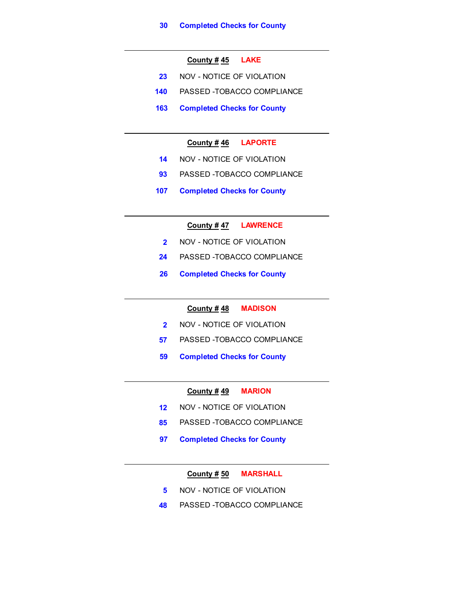## County  $\frac{\#}{45}$  LAKE

- 23 NOV NOTICE OF VIOLATION
- 140 PASSED -TOBACCO COMPLIANCE
- 163 Completed Checks for County

## County # 46 LAPORTE

- 14 NOV NOTICE OF VIOLATION
- 93 PASSED TOBACCO COMPLIANCE
- 107 Completed Checks for County

#### County # 47 LAWRENCE

- 2 NOV NOTICE OF VIOLATION
- 24 PASSED -TOBACCO COMPLIANCE
- 26 Completed Checks for County

#### County # 48 MADISON

- 2 NOV NOTICE OF VIOLATION
- 57 PASSED -TOBACCO COMPLIANCE
- 59 Completed Checks for County

#### County  $\frac{\#}{49}$  MARION

- 12 NOV NOTICE OF VIOLATION
- 85 PASSED -TOBACCO COMPLIANCE
- 97 Completed Checks for County

## County # 50 MARSHALL

- 5 NOV NOTICE OF VIOLATION
- 48 PASSED -TOBACCO COMPLIANCE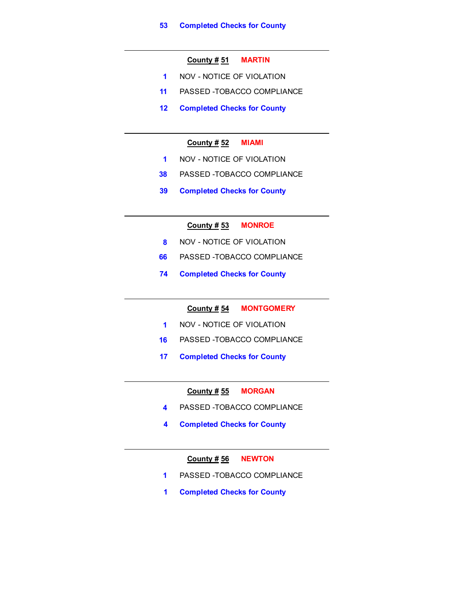## County # 51 MARTIN

- 1 NOV NOTICE OF VIOLATION
- 11 PASSED -TOBACCO COMPLIANCE
- 12 Completed Checks for County

## County  $\frac{\#}{52}$  MIAMI

- 1 NOV NOTICE OF VIOLATION
- 38 PASSED -TOBACCO COMPLIANCE
- 39 Completed Checks for County

## County # 53 MONROE

- 8 NOV NOTICE OF VIOLATION
- 66 PASSED -TOBACCO COMPLIANCE
- 74 Completed Checks for County

#### County # 54 MONTGOMERY

- 1 NOV NOTICE OF VIOLATION
- 16 PASSED -TOBACCO COMPLIANCE
- 17 Completed Checks for County

#### County # 55 MORGAN

- 4 PASSED -TOBACCO COMPLIANCE
- 4 Completed Checks for County

#### County # 56 NEWTON

- 1 PASSED -TOBACCO COMPLIANCE
- 1 Completed Checks for County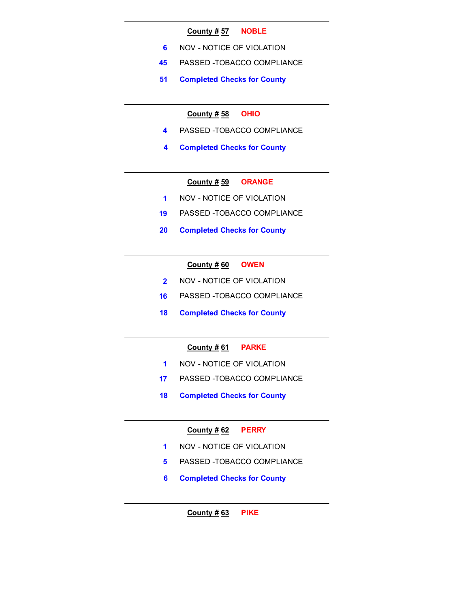#### County # 57 NOBLE

- 6 NOV NOTICE OF VIOLATION
- 45 PASSED -TOBACCO COMPLIANCE
- 51 Completed Checks for County

## County  $\frac{\text{# }58}{\text{OH}}$  OHIO

- 4 PASSED -TOBACCO COMPLIANCE
- 4 Completed Checks for County

# County # 59 ORANGE

- 1 NOV NOTICE OF VIOLATION
- 19 PASSED -TOBACCO COMPLIANCE
- 20 Completed Checks for County

## County  $\frac{\#}{60}$  OWEN

- 2 NOV NOTICE OF VIOLATION
- 16 PASSED -TOBACCO COMPLIANCE
- 18 Completed Checks for County

## County # 61 PARKE

- 1 NOV NOTICE OF VIOLATION
- 17 PASSED -TOBACCO COMPLIANCE
- 18 Completed Checks for County

# County # 62 PERRY

- 1 NOV NOTICE OF VIOLATION
- 5 PASSED -TOBACCO COMPLIANCE
- 6 Completed Checks for County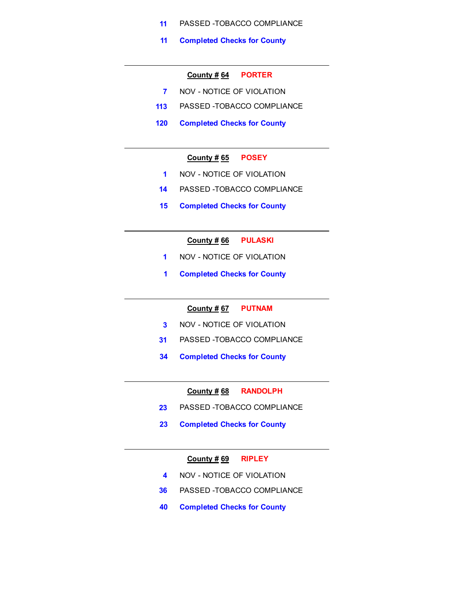- 11 PASSED -TOBACCO COMPLIANCE
- 11 Completed Checks for County

#### County # 64 PORTER

- 7 NOV NOTICE OF VIOLATION
- 113 PASSED -TOBACCO COMPLIANCE
- 120 Completed Checks for County

#### County # 65 POSEY

- 1 NOV NOTICE OF VIOLATION
- 14 PASSED -TOBACCO COMPLIANCE
- 15 Completed Checks for County

# County # 66 PULASKI

- 1 NOV NOTICE OF VIOLATION
- 1 Completed Checks for County

#### County # 67 PUTNAM

- 3 NOV NOTICE OF VIOLATION
- 31 PASSED -TOBACCO COMPLIANCE
- 34 Completed Checks for County

#### County # 68 RANDOLPH

- 23 PASSED -TOBACCO COMPLIANCE
- 23 Completed Checks for County

#### County  $\# 69$  RIPLEY

- 4 NOV NOTICE OF VIOLATION
- 36 PASSED -TOBACCO COMPLIANCE
- 40 Completed Checks for County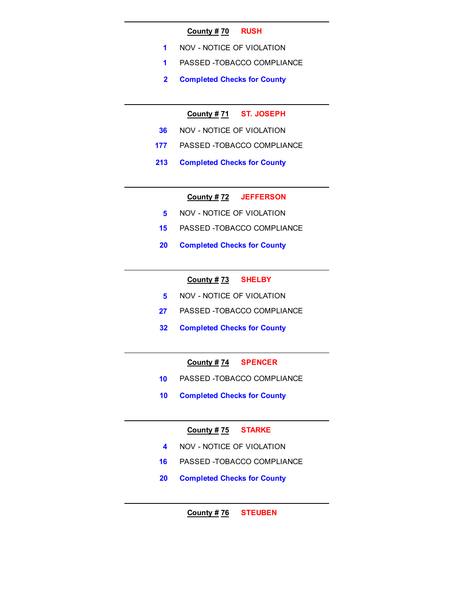#### County # 70 RUSH

- 1 NOV NOTICE OF VIOLATION
- 1 PASSED -TOBACCO COMPLIANCE
- 2 Completed Checks for County

## County # 71 ST. JOSEPH

- 36 NOV NOTICE OF VIOLATION
- 177 PASSED -TOBACCO COMPLIANCE
- 213 Completed Checks for County

#### County # 72 JEFFERSON

- 5 NOV NOTICE OF VIOLATION
- 15 PASSED -TOBACCO COMPLIANCE
- 20 Completed Checks for County

## County # 73 SHELBY

- 5 NOV NOTICE OF VIOLATION
- 27 PASSED -TOBACCO COMPLIANCE
- 32 Completed Checks for County

## County # 74 SPENCER

- 10 PASSED -TOBACCO COMPLIANCE
- 10 Completed Checks for County

# County # 75 STARKE

- 4 NOV NOTICE OF VIOLATION
- 16 PASSED -TOBACCO COMPLIANCE
- 20 Completed Checks for County

# County # 76 STEUBEN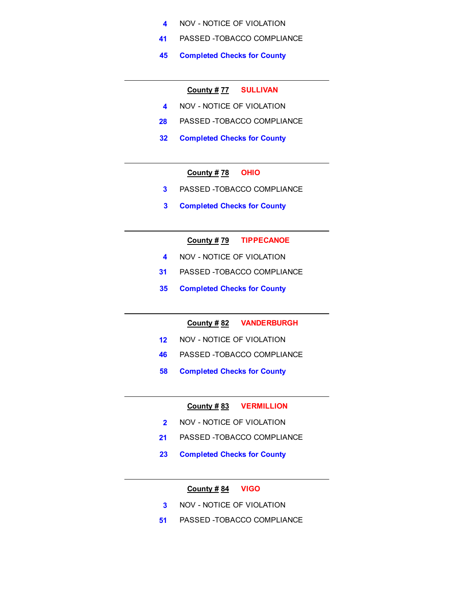- 4 NOV NOTICE OF VIOLATION
- 41 PASSED -TOBACCO COMPLIANCE
- 45 Completed Checks for County

## County # 77 SULLIVAN

- 4 NOV NOTICE OF VIOLATION
- 28 PASSED -TOBACCO COMPLIANCE
- 32 Completed Checks for County

## County  $\frac{\#}{12}$  OHIO

- 3 PASSED -TOBACCO COMPLIANCE
- 3 Completed Checks for County

## County # 79 TIPPECANOE

- 4 NOV NOTICE OF VIOLATION
- 31 PASSED -TOBACCO COMPLIANCE
- 35 Completed Checks for County

County # 82 VANDERBURGH

- 12 NOV NOTICE OF VIOLATION
- 46 PASSED -TOBACCO COMPLIANCE
- 58 Completed Checks for County

County # 83 VERMILLION

- 2 NOV NOTICE OF VIOLATION
- 21 PASSED -TOBACCO COMPLIANCE
- 23 Completed Checks for County

#### County  $\frac{\# 84}{ }$  VIGO

- 3 NOV NOTICE OF VIOLATION
- 51 PASSED -TOBACCO COMPLIANCE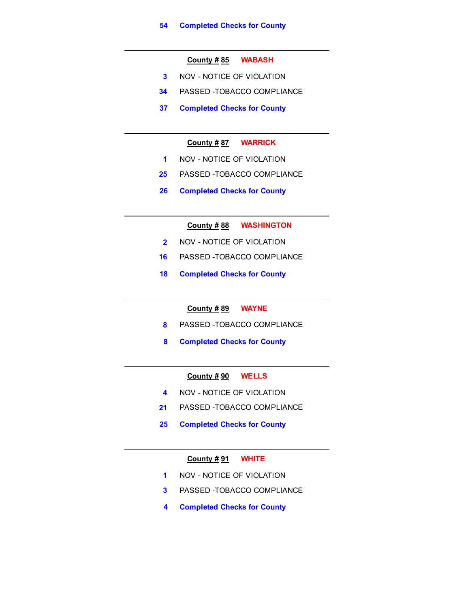#### County # 85 WABASH

- 3 NOV NOTICE OF VIOLATION
- 34 PASSED -TOBACCO COMPLIANCE
- 37 Completed Checks for County

## County # 87 WARRICK

- 1 NOV NOTICE OF VIOLATION
- 25 PASSED -TOBACCO COMPLIANCE
- 26 Completed Checks for County

County # 88 WASHINGTON

- 2 NOV NOTICE OF VIOLATION
- 16 PASSED -TOBACCO COMPLIANCE
- 18 Completed Checks for County

#### County # 89 WAYNE

- 8 PASSED -TOBACCO COMPLIANCE
- 8 Completed Checks for County

## County # 90 WELLS

- 4 NOV NOTICE OF VIOLATION
- 21 PASSED -TOBACCO COMPLIANCE
- 25 Completed Checks for County

#### County  $\frac{\# 91}{ }$  WHITE

- 1 NOV NOTICE OF VIOLATION
- 3 PASSED -TOBACCO COMPLIANCE
- 4 Completed Checks for County